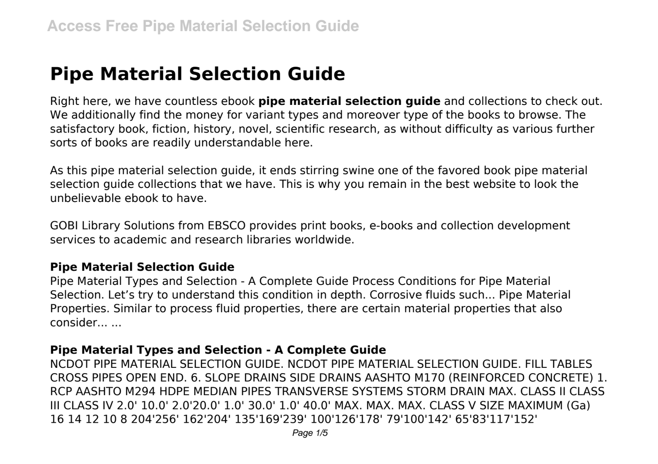# **Pipe Material Selection Guide**

Right here, we have countless ebook **pipe material selection guide** and collections to check out. We additionally find the money for variant types and moreover type of the books to browse. The satisfactory book, fiction, history, novel, scientific research, as without difficulty as various further sorts of books are readily understandable here.

As this pipe material selection guide, it ends stirring swine one of the favored book pipe material selection guide collections that we have. This is why you remain in the best website to look the unbelievable ebook to have.

GOBI Library Solutions from EBSCO provides print books, e-books and collection development services to academic and research libraries worldwide.

#### **Pipe Material Selection Guide**

Pipe Material Types and Selection - A Complete Guide Process Conditions for Pipe Material Selection. Let's try to understand this condition in depth. Corrosive fluids such... Pipe Material Properties. Similar to process fluid properties, there are certain material properties that also consider... ...

#### **Pipe Material Types and Selection - A Complete Guide**

NCDOT PIPE MATERIAL SELECTION GUIDE. NCDOT PIPE MATERIAL SELECTION GUIDE. FILL TABLES CROSS PIPES OPEN END. 6. SLOPE DRAINS SIDE DRAINS AASHTO M170 (REINFORCED CONCRETE) 1. RCP AASHTO M294 HDPE MEDIAN PIPES TRANSVERSE SYSTEMS STORM DRAIN MAX. CLASS II CLASS III CLASS IV 2.0' 10.0' 2.0'20.0' 1.0' 30.0' 1.0' 40.0' MAX. MAX. MAX. CLASS V SIZE MAXIMUM (Ga) 16 14 12 10 8 204'256' 162'204' 135'169'239' 100'126'178' 79'100'142' 65'83'117'152'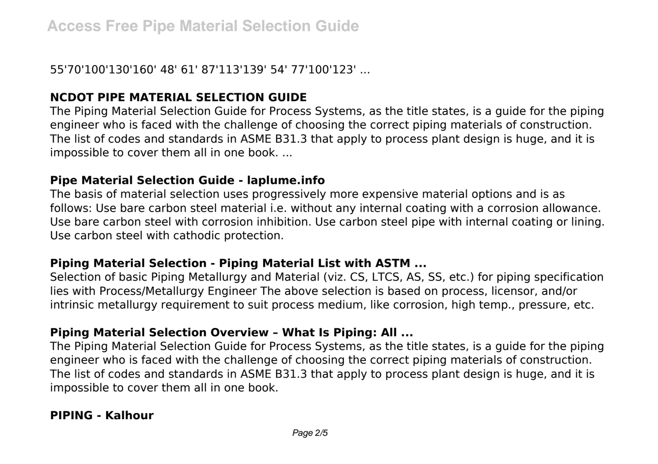55'70'100'130'160' 48' 61' 87'113'139' 54' 77'100'123' ...

## **NCDOT PIPE MATERIAL SELECTION GUIDE**

The Piping Material Selection Guide for Process Systems, as the title states, is a guide for the piping engineer who is faced with the challenge of choosing the correct piping materials of construction. The list of codes and standards in ASME B31.3 that apply to process plant design is huge, and it is impossible to cover them all in one book. ...

#### **Pipe Material Selection Guide - laplume.info**

The basis of material selection uses progressively more expensive material options and is as follows: Use bare carbon steel material i.e. without any internal coating with a corrosion allowance. Use bare carbon steel with corrosion inhibition. Use carbon steel pipe with internal coating or lining. Use carbon steel with cathodic protection.

#### **Piping Material Selection - Piping Material List with ASTM ...**

Selection of basic Piping Metallurgy and Material (viz. CS, LTCS, AS, SS, etc.) for piping specification lies with Process/Metallurgy Engineer The above selection is based on process, licensor, and/or intrinsic metallurgy requirement to suit process medium, like corrosion, high temp., pressure, etc.

#### **Piping Material Selection Overview – What Is Piping: All ...**

The Piping Material Selection Guide for Process Systems, as the title states, is a guide for the piping engineer who is faced with the challenge of choosing the correct piping materials of construction. The list of codes and standards in ASME B31.3 that apply to process plant design is huge, and it is impossible to cover them all in one book.

#### **PIPING - Kalhour**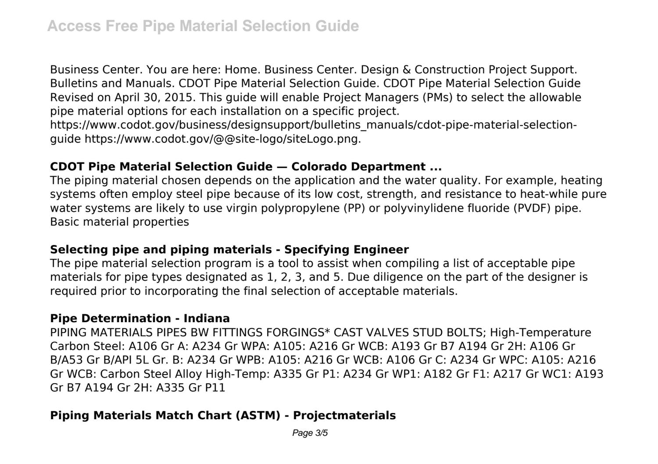Business Center. You are here: Home. Business Center. Design & Construction Project Support. Bulletins and Manuals. CDOT Pipe Material Selection Guide. CDOT Pipe Material Selection Guide Revised on April 30, 2015. This guide will enable Project Managers (PMs) to select the allowable pipe material options for each installation on a specific project.

https://www.codot.gov/business/designsupport/bulletins\_manuals/cdot-pipe-material-selectionguide https://www.codot.gov/@@site-logo/siteLogo.png.

#### **CDOT Pipe Material Selection Guide — Colorado Department ...**

The piping material chosen depends on the application and the water quality. For example, heating systems often employ steel pipe because of its low cost, strength, and resistance to heat-while pure water systems are likely to use virgin polypropylene (PP) or polyvinylidene fluoride (PVDF) pipe. Basic material properties

#### **Selecting pipe and piping materials - Specifying Engineer**

The pipe material selection program is a tool to assist when compiling a list of acceptable pipe materials for pipe types designated as 1, 2, 3, and 5. Due diligence on the part of the designer is required prior to incorporating the final selection of acceptable materials.

#### **Pipe Determination - Indiana**

PIPING MATERIALS PIPES BW FITTINGS FORGINGS\* CAST VALVES STUD BOLTS; High-Temperature Carbon Steel: A106 Gr A: A234 Gr WPA: A105: A216 Gr WCB: A193 Gr B7 A194 Gr 2H: A106 Gr B/A53 Gr B/API 5L Gr. B: A234 Gr WPB: A105: A216 Gr WCB: A106 Gr C: A234 Gr WPC: A105: A216 Gr WCB: Carbon Steel Alloy High-Temp: A335 Gr P1: A234 Gr WP1: A182 Gr F1: A217 Gr WC1: A193 Gr B7 A194 Gr 2H: A335 Gr P11

## **Piping Materials Match Chart (ASTM) - Projectmaterials**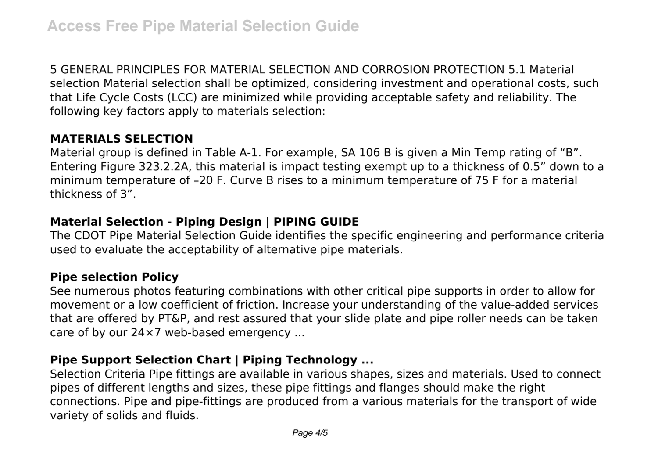5 GENERAL PRINCIPLES FOR MATERIAL SELECTION AND CORROSION PROTECTION 5.1 Material selection Material selection shall be optimized, considering investment and operational costs, such that Life Cycle Costs (LCC) are minimized while providing acceptable safety and reliability. The following key factors apply to materials selection:

#### **MATERIALS SELECTION**

Material group is defined in Table A-1. For example, SA 106 B is given a Min Temp rating of "B". Entering Figure 323.2.2A, this material is impact testing exempt up to a thickness of 0.5" down to a minimum temperature of –20 F. Curve B rises to a minimum temperature of 75 F for a material thickness of 3".

#### **Material Selection - Piping Design | PIPING GUIDE**

The CDOT Pipe Material Selection Guide identifies the specific engineering and performance criteria used to evaluate the acceptability of alternative pipe materials.

#### **Pipe selection Policy**

See numerous photos featuring combinations with other critical pipe supports in order to allow for movement or a low coefficient of friction. Increase your understanding of the value-added services that are offered by PT&P, and rest assured that your slide plate and pipe roller needs can be taken care of by our 24×7 web-based emergency ...

## **Pipe Support Selection Chart | Piping Technology ...**

Selection Criteria Pipe fittings are available in various shapes, sizes and materials. Used to connect pipes of different lengths and sizes, these pipe fittings and flanges should make the right connections. Pipe and pipe-fittings are produced from a various materials for the transport of wide variety of solids and fluids.